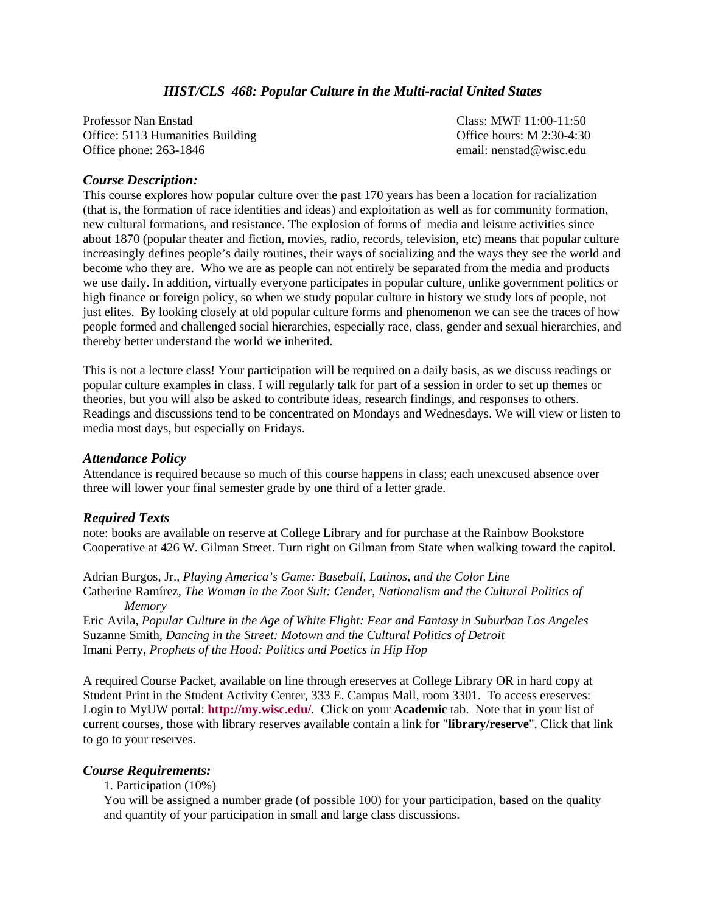# *HIST/CLS 468: Popular Culture in the Multi-racial United States*

Professor Nan Enstad Class: MWF 11:00-11:50 Office: 5113 Humanities Building Communication Communication Communication Communication Office hours: M 2:30-4:30 Office phone: 263-1846 email: nenstad@wisc.edu

## *Course Description:*

This course explores how popular culture over the past 170 years has been a location for racialization (that is, the formation of race identities and ideas) and exploitation as well as for community formation, new cultural formations, and resistance. The explosion of forms of media and leisure activities since about 1870 (popular theater and fiction, movies, radio, records, television, etc) means that popular culture increasingly defines people's daily routines, their ways of socializing and the ways they see the world and become who they are. Who we are as people can not entirely be separated from the media and products we use daily. In addition, virtually everyone participates in popular culture, unlike government politics or high finance or foreign policy, so when we study popular culture in history we study lots of people, not just elites. By looking closely at old popular culture forms and phenomenon we can see the traces of how people formed and challenged social hierarchies, especially race, class, gender and sexual hierarchies, and thereby better understand the world we inherited.

This is not a lecture class! Your participation will be required on a daily basis, as we discuss readings or popular culture examples in class. I will regularly talk for part of a session in order to set up themes or theories, but you will also be asked to contribute ideas, research findings, and responses to others. Readings and discussions tend to be concentrated on Mondays and Wednesdays. We will view or listen to media most days, but especially on Fridays.

## *Attendance Policy*

Attendance is required because so much of this course happens in class; each unexcused absence over three will lower your final semester grade by one third of a letter grade.

# *Required Texts*

note: books are available on reserve at College Library and for purchase at the Rainbow Bookstore Cooperative at 426 W. Gilman Street. Turn right on Gilman from State when walking toward the capitol.

Adrian Burgos, Jr., *Playing America's Game: Baseball, Latinos, and the Color Line*  Catherine Ramírez, *The Woman in the Zoot Suit: Gender, Nationalism and the Cultural Politics of Memory*

Eric Avila, *Popular Culture in the Age of White Flight: Fear and Fantasy in Suburban Los Angeles*  Suzanne Smith, *Dancing in the Street: Motown and the Cultural Politics of Detroit*  Imani Perry, *Prophets of the Hood: Politics and Poetics in Hip Hop* 

A required Course Packet, available on line through ereserves at College Library OR in hard copy at Student Print in the Student Activity Center, 333 E. Campus Mall, room 3301. To access ereserves: Login to MyUW portal: **<http://my.wisc.edu/>**. Click on your **Academic** tab. Note that in your list of current courses, those with library reserves available contain a link for "**library/reserve**". Click that link to go to your reserves.

# *Course Requirements:*

1. Participation (10%)

You will be assigned a number grade (of possible 100) for your participation, based on the quality and quantity of your participation in small and large class discussions.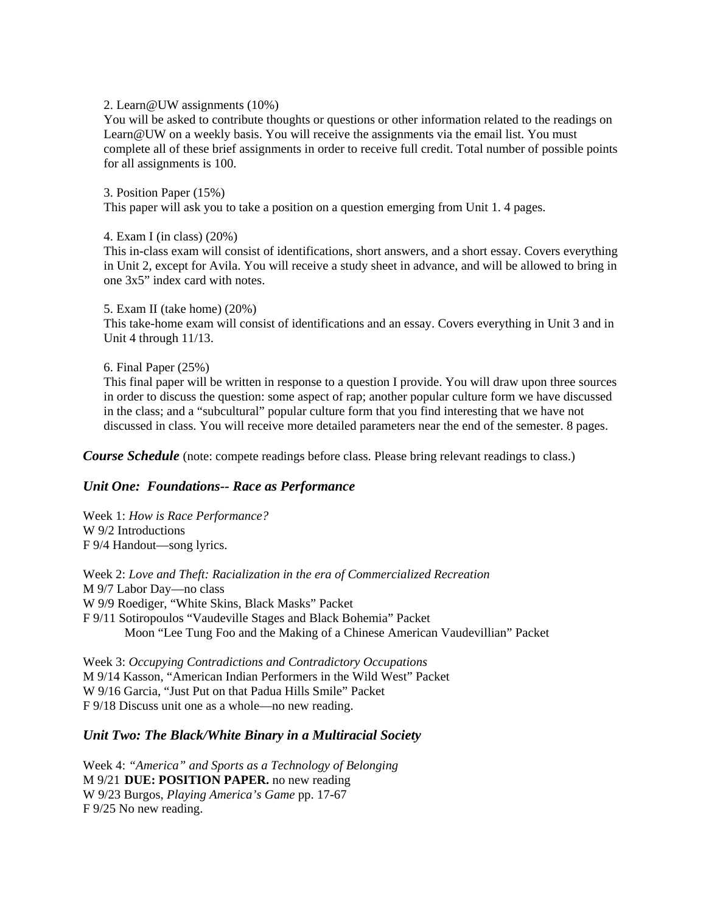#### 2. Learn@UW assignments (10%)

You will be asked to contribute thoughts or questions or other information related to the readings on Learn@UW on a weekly basis. You will receive the assignments via the email list. You must complete all of these brief assignments in order to receive full credit. Total number of possible points for all assignments is 100.

3. Position Paper (15%) This paper will ask you to take a position on a question emerging from Unit 1. 4 pages.

### 4. Exam I (in class) (20%)

This in-class exam will consist of identifications, short answers, and a short essay. Covers everything in Unit 2, except for Avila. You will receive a study sheet in advance, and will be allowed to bring in one 3x5" index card with notes.

### 5. Exam II (take home) (20%)

This take-home exam will consist of identifications and an essay. Covers everything in Unit 3 and in Unit 4 through 11/13.

### 6. Final Paper (25%)

This final paper will be written in response to a question I provide. You will draw upon three sources in order to discuss the question: some aspect of rap; another popular culture form we have discussed in the class; and a "subcultural" popular culture form that you find interesting that we have not discussed in class. You will receive more detailed parameters near the end of the semester. 8 pages.

*Course Schedule* (note: compete readings before class. Please bring relevant readings to class.)

# *Unit One: Foundations-- Race as Performance*

Week 1: *How is Race Performance?*  W 9/2 Introductions F 9/4 Handout—song lyrics.

Week 2: *Love and Theft: Racialization in the era of Commercialized Recreation*  M 9/7 Labor Day—no class W 9/9 Roediger, "White Skins, Black Masks" Packet F 9/11 Sotiropoulos "Vaudeville Stages and Black Bohemia" Packet Moon "Lee Tung Foo and the Making of a Chinese American Vaudevillian" Packet

Week 3: *Occupying Contradictions and Contradictory Occupations*  M 9/14 Kasson, "American Indian Performers in the Wild West" Packet W 9/16 Garcia, "Just Put on that Padua Hills Smile" Packet F 9/18 Discuss unit one as a whole—no new reading.

# *Unit Two: The Black/White Binary in a Multiracial Society*

Week 4: *"America" and Sports as a Technology of Belonging*  M 9/21 **DUE: POSITION PAPER.** no new reading W 9/23 Burgos, *Playing America's Game* pp. 17-67 F 9/25 No new reading.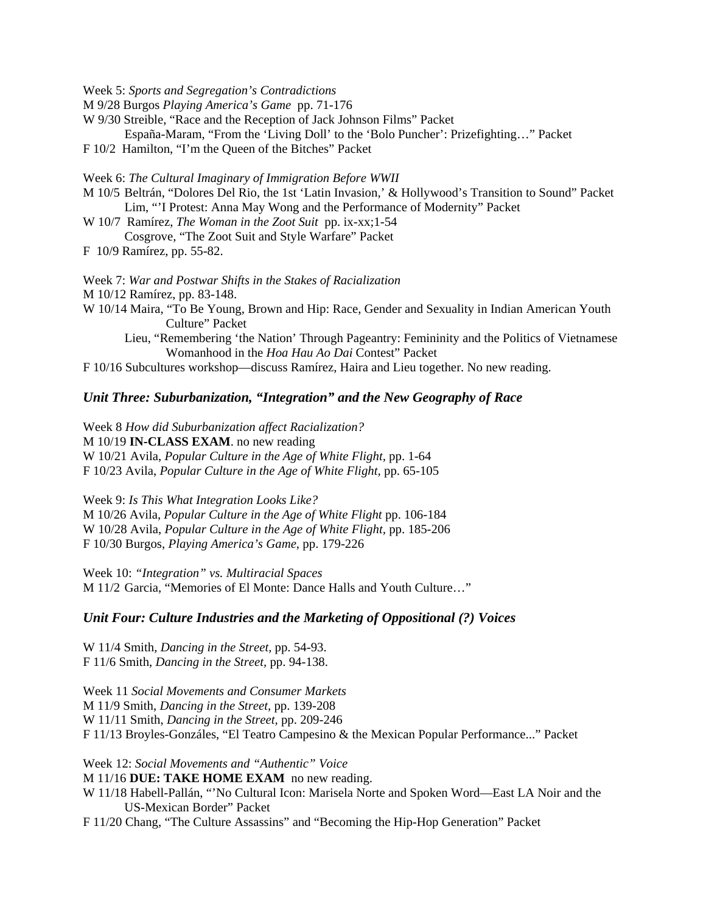Week 5: *Sports and Segregation's Contradictions* 

M 9/28 Burgos *Playing America's Game* pp. 71-176

W 9/30 Streible, "Race and the Reception of Jack Johnson Films" Packet

España-Maram, "From the 'Living Doll' to the 'Bolo Puncher': Prizefighting…" Packet

F 10/2 Hamilton, "I'm the Queen of the Bitches" Packet

Week 6: *The Cultural Imaginary of Immigration Before WWII* 

M 10/5 Beltrán, "Dolores Del Rio, the 1st 'Latin Invasion,' & Hollywood's Transition to Sound" Packet Lim, "'I Protest: Anna May Wong and the Performance of Modernity" Packet

W 10/7 Ramírez, *The Woman in the Zoot Suit* pp. ix-xx;1-54 Cosgrove, "The Zoot Suit and Style Warfare" Packet

F 10/9 Ramírez, pp. 55-82.

Week 7: *War and Postwar Shifts in the Stakes of Racialization*  M 10/12 Ramírez, pp. 83-148. W 10/14 Maira, "To Be Young, Brown and Hip: Race, Gender and Sexuality in Indian American Youth Culture" Packet Lieu, "Remembering 'the Nation' Through Pageantry: Femininity and the Politics of Vietnamese

Womanhood in the *Hoa Hau Ao Dai* Contest" Packet

F 10/16 Subcultures workshop—discuss Ramírez, Haira and Lieu together. No new reading.

### *Unit Three: Suburbanization, "Integration" and the New Geography of Race*

Week 8 *How did Suburbanization affect Racialization?* M 10/19 **IN-CLASS EXAM**. no new reading W 10/21 Avila, *Popular Culture in the Age of White Flight,* pp. 1-64 F 10/23 Avila, *Popular Culture in the Age of White Flight,* pp. 65-105

Week 9: *Is This What Integration Looks Like?* M 10/26 Avila, *Popular Culture in the Age of White Flight* pp. 106-184 W 10/28 Avila, *Popular Culture in the Age of White Flight,* pp. 185-206 F 10/30 Burgos, *Playing America's Game*, pp. 179-226

Week 10: *"Integration" vs. Multiracial Spaces*  M 11/2 Garcia, "Memories of El Monte: Dance Halls and Youth Culture…"

#### *Unit Four: Culture Industries and the Marketing of Oppositional (?) Voices*

W 11/4 Smith, *Dancing in the Street,* pp. 54-93. F 11/6 Smith, *Dancing in the Street,* pp. 94-138.

Week 11 *Social Movements and Consumer Markets* M 11/9 Smith, *Dancing in the Street,* pp. 139-208 W 11/11 Smith, *Dancing in the Street,* pp. 209-246 F 11/13 Broyles-Gonzáles, "El Teatro Campesino & the Mexican Popular Performance..." Packet

Week 12: *Social Movements and "Authentic" Voice*  M 11/16 **DUE: TAKE HOME EXAM** no new reading. W 11/18 Habell-Pallán, "'No Cultural Icon: Marisela Norte and Spoken Word—East LA Noir and the US-Mexican Border" Packet F 11/20 Chang, "The Culture Assassins" and "Becoming the Hip-Hop Generation" Packet